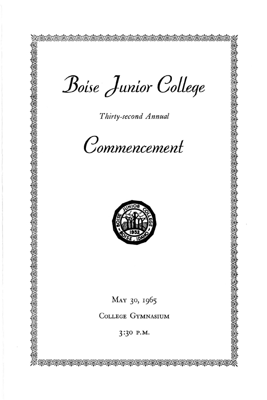Boise Junior College

Thirty-second Annual





MAY 30, 1965

COLLEGE GYMNASIUM

3:30 P.M.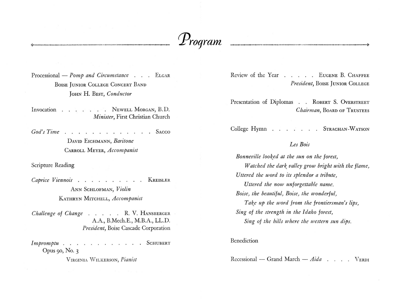# *Proqram*

Processional – *Pomp and Circumstance* . . . ELGAR BOISE JUNIOR COLLEGE CONCERT BAND JOHN H. BEST, *Conductor* 

Invocation . . . . . NEWELL MORGAN, B.D. *Minister,* First Christian Church

*God's Time* . . . . . . . . . . . . . Sacco DAVID EICHMANN, *Baritone*  CARROLL MEYER, *Accompanist* 

Scripture Reading

*Caprice Viennois* . . . . . . . . . KREISLER ANN SCHLOFMAN, *Violin*  KATHRYN MITCHELL, *Accompanist* 

*Challenge of Change* . . . . R. V. HANSBERGER A.A., B.Mech.E., M.B.A., LL.D. *President,* Boise Cascade Corporation

*Impromptu* . . . . . . . . . . . SCHUBERT Opus 90, No. 3

VIRGINIA WILKERSON, *Pianist* 

Review of the Year . . . . EUGENE B. CHAFFEE *President,* BOISE JUNIOR COLLEGE

Presentation of Diplomas . . ROBERT S. OVERSTREET *Chairman,* BOARD OF TRUSTEES

College Hymn . . . . . . STRACHAN-WATSON

## *Les Bois*

*Bonneville looked at the sun on the forest, Watched the dark valley grow bright with the flame, Uttered the word to its splendor a tribute, Uttered the now unforgettable name. Boise, the beautiful, Boise, the wonderful, Take up the word from the frontiersman's lips, Sing of the strength in the Idaho forest, Sing of the hills where the western sun dips.* 

Benediction

Recessional – Grand March – *Aida* . . . . VERDI